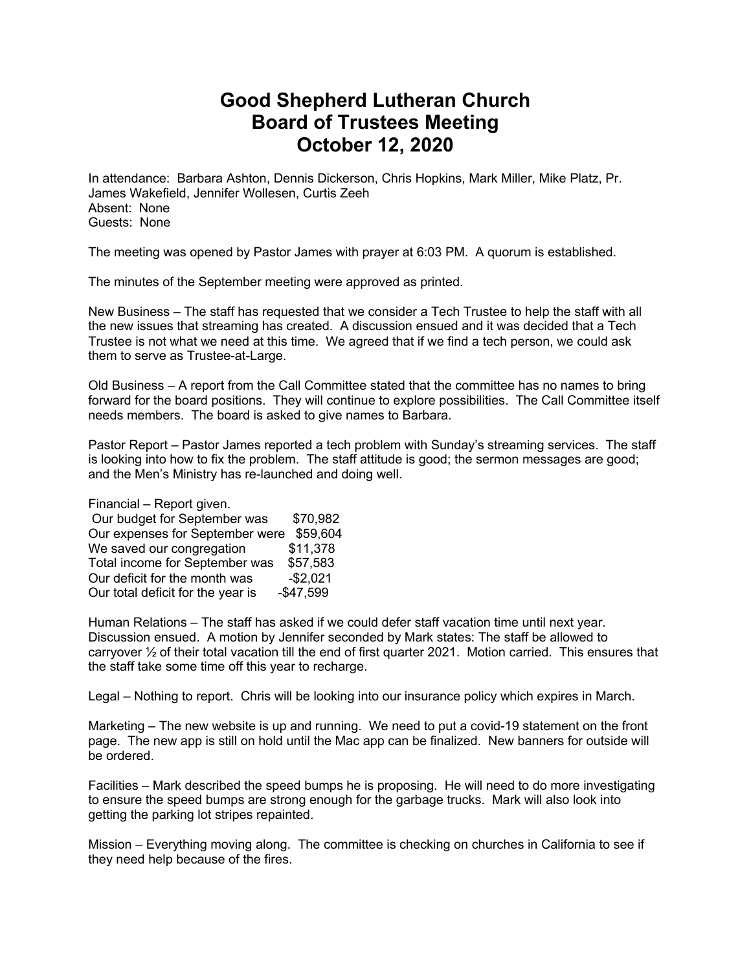## **Good Shepherd Lutheran Church Board of Trustees Meeting October 12, 2020**

In attendance: Barbara Ashton, Dennis Dickerson, Chris Hopkins, Mark Miller, Mike Platz, Pr. James Wakefield, Jennifer Wollesen, Curtis Zeeh Absent: None Guests: None

The meeting was opened by Pastor James with prayer at 6:03 PM. A quorum is established.

The minutes of the September meeting were approved as printed.

New Business – The staff has requested that we consider a Tech Trustee to help the staff with all the new issues that streaming has created. A discussion ensued and it was decided that a Tech Trustee is not what we need at this time. We agreed that if we find a tech person, we could ask them to serve as Trustee-at-Large.

Old Business – A report from the Call Committee stated that the committee has no names to bring forward for the board positions. They will continue to explore possibilities. The Call Committee itself needs members. The board is asked to give names to Barbara.

Pastor Report – Pastor James reported a tech problem with Sunday's streaming services. The staff is looking into how to fix the problem. The staff attitude is good; the sermon messages are good; and the Men's Ministry has re-launched and doing well.

Financial – Report given. Our budget for September was \$70,982 Our expenses for September were \$59,604 We saved our congregation \$11,378 Total income for September was \$57,583 Our deficit for the month was -\$2,021 Our total deficit for the year is -\$47,599

Human Relations – The staff has asked if we could defer staff vacation time until next year. Discussion ensued. A motion by Jennifer seconded by Mark states: The staff be allowed to carryover ½ of their total vacation till the end of first quarter 2021. Motion carried. This ensures that the staff take some time off this year to recharge.

Legal – Nothing to report. Chris will be looking into our insurance policy which expires in March.

Marketing – The new website is up and running. We need to put a covid-19 statement on the front page. The new app is still on hold until the Mac app can be finalized. New banners for outside will be ordered.

Facilities – Mark described the speed bumps he is proposing. He will need to do more investigating to ensure the speed bumps are strong enough for the garbage trucks. Mark will also look into getting the parking lot stripes repainted.

Mission – Everything moving along. The committee is checking on churches in California to see if they need help because of the fires.